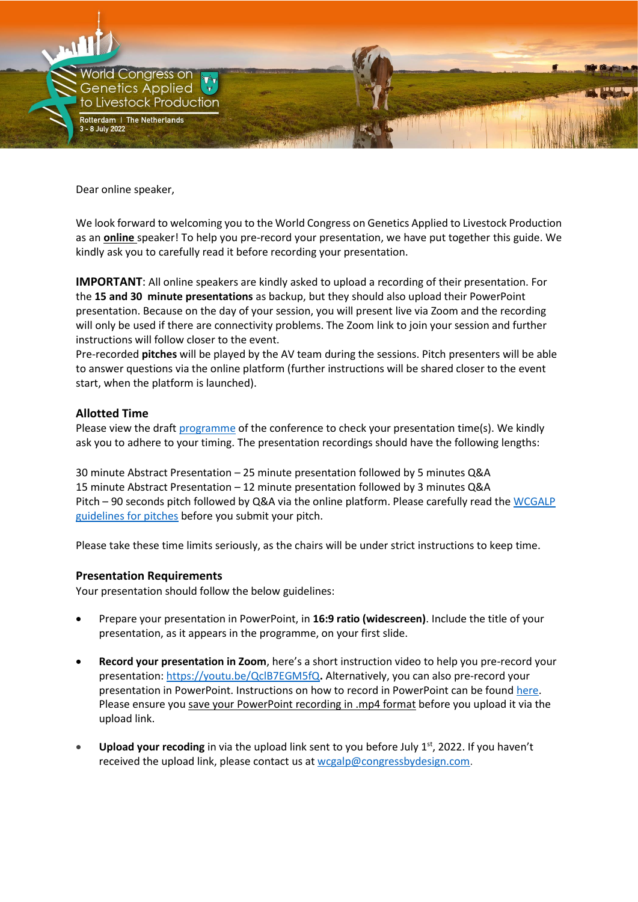

Dear online speaker,

We look forward to welcoming you to the World Congress on Genetics Applied to Livestock Production as an **online** speaker! To help you pre-record your presentation, we have put together this guide. We kindly ask you to carefully read it before recording your presentation.

**IMPORTANT**: All online speakers are kindly asked to upload a recording of their presentation. For the **15 and 30 minute presentations** as backup, but they should also upload their PowerPoint presentation. Because on the day of your session, you will present live via Zoom and the recording will only be used if there are connectivity problems. The Zoom link to join your session and further instructions will follow closer to the event.

Pre-recorded **pitches** will be played by the AV team during the sessions. Pitch presenters will be able to answer questions via the online platform (further instructions will be shared closer to the event start, when the platform is launched).

## **Allotted Time**

Please view the draft [programme](https://wcgalp.com/wp-content/uploads/2022/04/2022-04-20-Draft-WCGALP-program.pdf) of the conference to check your presentation time(s). We kindly ask you to adhere to your timing. The presentation recordings should have the following lengths:

30 minute Abstract Presentation – 25 minute presentation followed by 5 minutes Q&A 15 minute Abstract Presentation – 12 minute presentation followed by 3 minutes Q&A Pitch – 90 seconds pitch followed by Q&A via the online platform. Please carefully read the [WCGALP](https://wcgalp.com/guidelines-for-pitches/)  [guidelines for pitches](https://wcgalp.com/guidelines-for-pitches/) before you submit your pitch.

Please take these time limits seriously, as the chairs will be under strict instructions to keep time.

## **Presentation Requirements**

Your presentation should follow the below guidelines:

- Prepare your presentation in PowerPoint, in **16:9 ratio (widescreen)**. Include the title of your presentation, as it appears in the programme, on your first slide.
- **Record your presentation in Zoom**, here's a short instruction video to help you pre-record your presentation:<https://youtu.be/QclB7EGM5fQ>**.** Alternatively, you can also pre-record your presentation in PowerPoint. Instructions on how to record in PowerPoint can be found [here.](https://support.microsoft.com/en-us/office/record-a-presentation-2570dff5-f81c-40bc-b404-e04e95ffab33) Please ensure you save your PowerPoint recording in .mp4 format before you upload it via the upload link.
- **Upload your recoding** in via the upload link sent to you before July 1<sup>st</sup>, 2022. If you haven't received the upload link, please contact us at [wcgalp@congressbydesign.com.](mailto:wcgalp@congressbydesign.com)